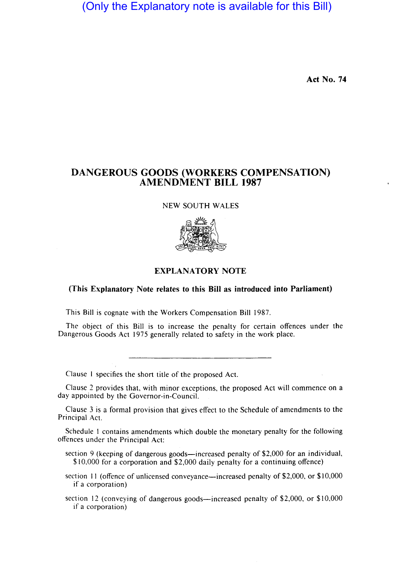(Only the Explanatory note is available for this Bill)

**Act No. 74** 

# **DANGEROUS GOODS (WORKERS COMPENSATION) AMENDMENT BILL 1987**

#### NEW SOUTH WALES



### **EXPLANATORY NOTE**

#### **(This Explanatory Note relates to this Bill as introduced into Parliament)**

This Bill is cognate with the Workers Compensation Bill 1987.

The object of this Bill is to increase the penalty for certain offences under the Dangerous Goods Act 1975 generally related to safety in the work place.

Clause I specifies the short title of the proposed Act.

Clause 2 provides that, with minor exceptions, the proposed Act will commence on a day appointed by the Governor-in-Council.

Clause 3 is a formal provision that gives effect to the Schedule of amendments to the Principal Act.

Schedule I contains amendments which double the monetary penalty for the following offences under the Principal Act:

- section 9 (keeping of dangerous goods—increased penalty of \$2,000 for an individual, \$ 10,000 for a corporation and \$2,000 daily penalty for a continuing offence)
- section 11 (offence of unlicensed conveyance—increased penalty of \$2,000, or \$10,000 if a corporation)
- section 12 (conveying of dangerous goods—increased penalty of \$2,000, or \$10,000 if a corporation)